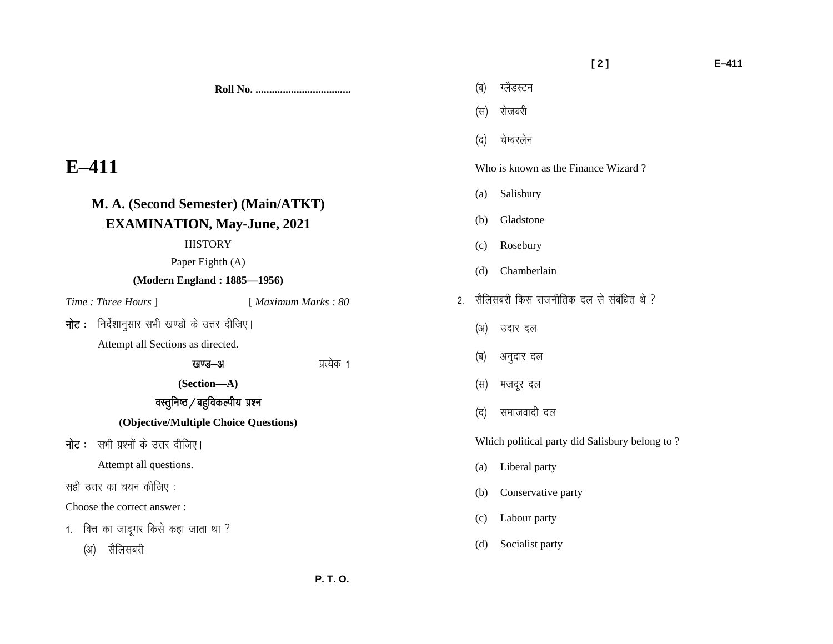#### **[ 2 ] E–411**

**Roll No. ...................................** 

# **E–411**

## **M. A. (Second Semester) (Main/ATKT) EXAMINATION, May-June, 2021**

#### **HISTORY**

### Paper Eighth (A)

### **(Modern England : 1885—1956)**

*Time : Three Hours* ] [ *Maximum Marks : 80* 

**नोट**: निर्देशानुसार सभी खण्डों के उत्तर दीजिए।

Attempt all Sections as directed.

### खण्ड-अ अत्येक १

**(Section—A)** 

### वस्तुनिष्ठ $/$ बहुविकल्पीय प्रश्न

### **(Objective/Multiple Choice Questions)**

**नोट**: सभी प्रश्नों के उत्तर दीजिए।

Attempt all questions.

सही उत्तर का चयन कीजिए :

Choose the correct answer :

 $1.$  वित्त का जादूगर किसे कहा जाता था ?

(अ) सैलिसबरी

- (द) चेम्बरलेन Who is known as the Finance Wizard ? (a) Salisbury
- (b) Gladstone

(ब) ग्लैडस्टन

(स) रोजबरी

- (c) Rosebury
- (d) Chamberlain
- 2 सैलिसबरी किस राजनीतिक दल से संबंधित थे  $\sqrt{ }$ 
	- (अ) उदार दल
	- (ब) अनुदार दल
	- (स) मजदूर दल
	- (द) समाजवादी दल

Which political party did Salisbury belong to ?

- (a) Liberal party
- (b) Conservative party
- (c) Labour party
- (d) Socialist party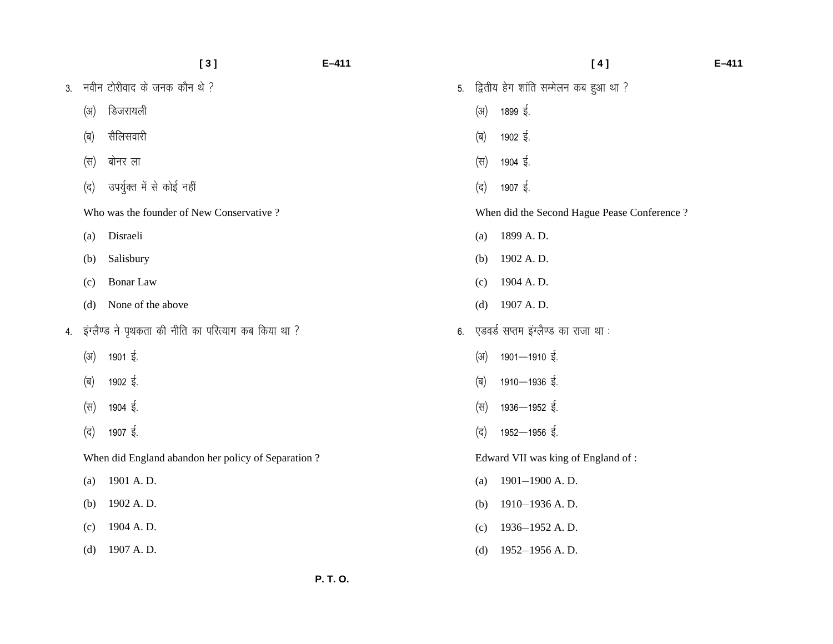|    |      | [3]                                                  | $E - 411$ |    |      | [4]                                          | $E - 411$ |
|----|------|------------------------------------------------------|-----------|----|------|----------------------------------------------|-----------|
| 3. |      | नवीन टोरीवाद के जनक कौन थे ?                         |           | 5. |      | द्वितीय हेग शांति सम्मेलन कब हुआ था ?        |           |
|    | (3I) | डिजरायली                                             |           |    | (3I) | 1899 ई.                                      |           |
|    | (ब)  | सैलिसवारी                                            |           |    | (ब)  | 1902 ई.                                      |           |
|    | (स)  | बोनर ला                                              |           |    | (स)  | 1904 ई.                                      |           |
|    | (द)  | उपर्युक्त में से कोई नहीं                            |           |    | (द)  | 1907 $\frac{2}{3}$ .                         |           |
|    |      | Who was the founder of New Conservative?             |           |    |      | When did the Second Hague Pease Conference ? |           |
|    | (a)  | Disraeli                                             |           |    | (a)  | 1899 A.D.                                    |           |
|    | (b)  | Salisbury                                            |           |    | (b)  | 1902 A.D.                                    |           |
|    | (c)  | Bonar Law                                            |           |    | (c)  | 1904 A.D.                                    |           |
|    | (d)  | None of the above                                    |           |    | (d)  | 1907 A.D.                                    |           |
| 4. |      | इंग्लैण्ड ने पृथकता की नीति का परित्याग कब किया था ? |           | 6. |      | एडवर्ड सप्तम इंग्लैण्ड का राजा था :          |           |
|    | (3I) | 1901 ई.                                              |           |    | (3)  | $1901 - 1910$ $\frac{2}{3}$ .                |           |
|    | (ब)  | 1902 $\frac{2}{3}$ .                                 |           |    | (ब)  | $1910 - 1936$ $\overline{\xi}$ .             |           |
|    | (स)  | 1904 $\frac{1}{5}$ .                                 |           |    | (स)  | 1936–1952 ई.                                 |           |
|    | (द)  | 1907 $\frac{1}{5}$ .                                 |           |    | (द)  | 1952-1956 ई.                                 |           |
|    |      | When did England abandon her policy of Separation?   |           |    |      | Edward VII was king of England of:           |           |
|    | (a)  | 1901 A.D.                                            |           |    | (a)  | 1901-1900 A.D.                               |           |
|    | (b)  | 1902 A.D.                                            |           |    | (b)  | 1910-1936 A.D.                               |           |
|    | (c)  | 1904 A.D.                                            |           |    | (c)  | 1936-1952 A.D.                               |           |
|    | (d)  | 1907 A.D.                                            |           |    | (d)  | 1952-1956 A.D.                               |           |
|    |      |                                                      |           |    |      |                                              |           |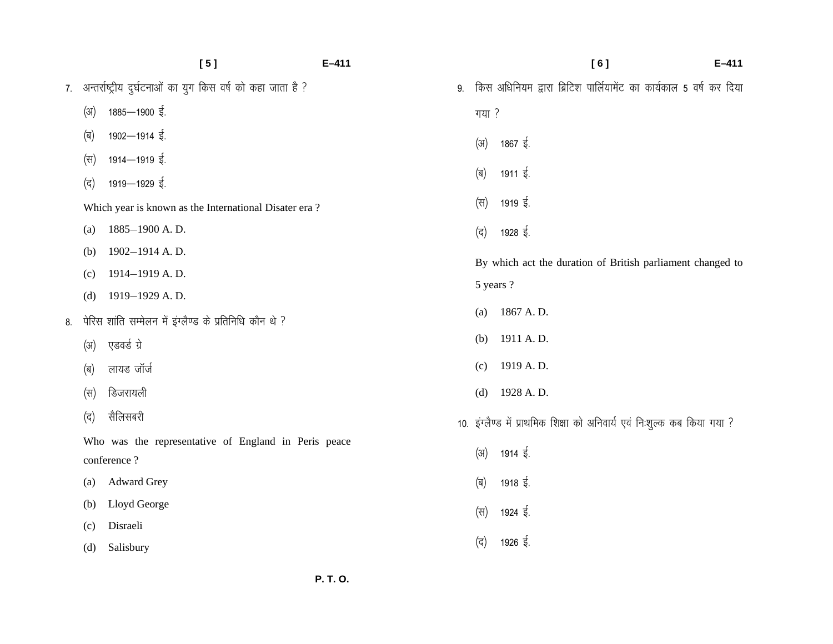|    |                  | [5]                                                            | $E-411$ |       | [6]<br>$E - 411$                                                         |
|----|------------------|----------------------------------------------------------------|---------|-------|--------------------------------------------------------------------------|
|    |                  | 7. अन्तर्राष्ट्रीय दुर्घटनाओं का युग किस वर्ष को कहा जाता है ? | 9.      |       | किस अधिनियम द्वारा ब्रिटिश पार्लियामेंट का कार्यकाल 5 वर्ष कर दिया       |
|    | (अ)              | 1885-1900 ई.                                                   |         | गया ? |                                                                          |
|    | (ब)              | 1902-1914 ई.                                                   |         | (3I)  | 1867 ई.                                                                  |
|    | (स)              | 1914–1919 ई.                                                   |         |       |                                                                          |
|    | (द)              | 1919-1929 ई.                                                   |         | (ब)   | 1911 ई.                                                                  |
|    |                  | Which year is known as the International Disater era?          |         | (स)   | 1919 ई.                                                                  |
|    | (a)              | 1885-1900 A.D.                                                 |         | (द)   | 1928 ई.                                                                  |
|    | (b)              | 1902-1914 A.D.                                                 |         |       | By which act the duration of British parliament changed to               |
|    | (c)              | 1914-1919 A.D.                                                 |         |       | 5 years ?                                                                |
|    | (d)              | 1919-1929 A.D.                                                 |         |       |                                                                          |
| 8. |                  | पेरिस शांति सम्मेलन में इंग्लैण्ड के प्रतिनिधि कौन थे ?        |         | (a)   | 1867 A.D.                                                                |
|    | $(\mathfrak{A})$ | एडवर्ड ग्रे                                                    |         | (b)   | 1911 A.D.                                                                |
|    | (ब)              | लायड जॉर्ज                                                     |         | (c)   | 1919 A.D.                                                                |
|    | (स)              | डिजरायली                                                       |         | (d)   | 1928 A.D.                                                                |
|    | (द)              | सैलिसबरी                                                       |         |       | 10. इंग्लैण्ड में प्राथमिक शिक्षा को अनिवार्य एवं निःशुल्क कब किया गया ? |
|    |                  | Who was the representative of England in Peris peace           |         | (3I)  | 1914 ई.                                                                  |
|    |                  | conference?                                                    |         |       |                                                                          |
|    | (a)              | <b>Adward Grey</b>                                             |         | (ब)   | 1918 ई.                                                                  |
|    | (b)              | Lloyd George                                                   |         | (स)   | 1924 ई.                                                                  |
|    | (c)              | Disraeli                                                       |         |       |                                                                          |
|    | (d)              | Salisbury                                                      |         | (द)   | 1926 ई.                                                                  |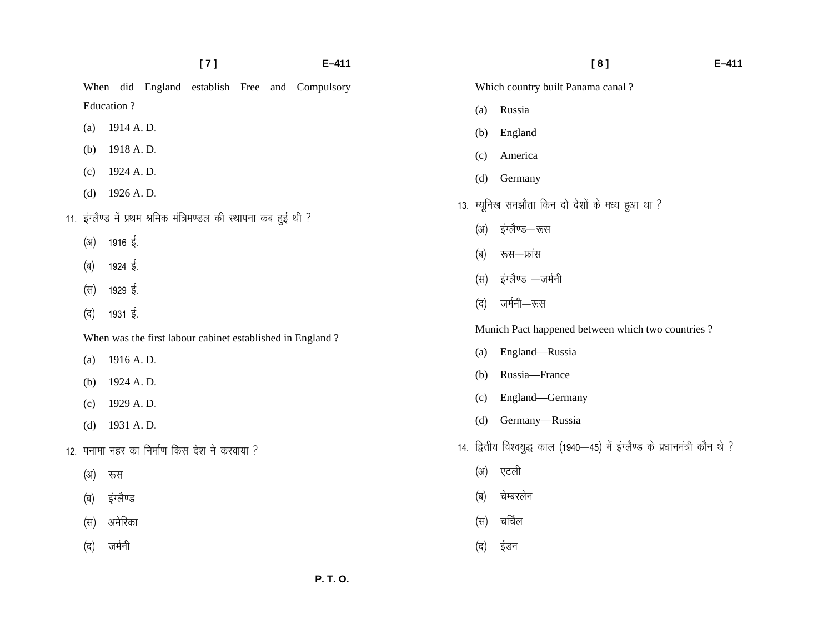|      |                                                                   | [7] |  | $E - 411$                                        |            | [8]                                                                         | $E - 411$ |
|------|-------------------------------------------------------------------|-----|--|--------------------------------------------------|------------|-----------------------------------------------------------------------------|-----------|
|      | When did England establish Free and Compulsory                    |     |  |                                                  |            | Which country built Panama canal?                                           |           |
|      | Education ?                                                       |     |  |                                                  | (a)        | Russia                                                                      |           |
| (a)  | 1914 A.D.                                                         |     |  |                                                  | (b)        | England                                                                     |           |
| (b)  | 1918 A.D.                                                         |     |  |                                                  | (c)        | America                                                                     |           |
| (c)  | 1924 A.D.                                                         |     |  |                                                  | (d)        | Germany                                                                     |           |
| (d)  | 1926 A.D.                                                         |     |  | 13. म्यूनिख समझौता किन दो देशों के मध्य हुआ था ? |            |                                                                             |           |
|      | 11. इंग्लैण्ड में प्रथम श्रमिक मंत्रिमण्डल की स्थापना कब हुई थी ? |     |  |                                                  | (3I)       | इंग्लैण्ड—रूस                                                               |           |
| (31) | 1916 ई.                                                           |     |  |                                                  | (ब)        | रूस—फ्रांस                                                                  |           |
| (ब)  | 1924 $\frac{1}{5}$ .                                              |     |  |                                                  | (स)        | इंग्लैण्ड —जर्मनी                                                           |           |
| (स)  | 1929 $\frac{1}{5}$ .                                              |     |  | (द)                                              | जर्मनी—रूस |                                                                             |           |
| (द)  | 1931 $\frac{1}{5}$ .                                              |     |  |                                                  |            | Munich Pact happened between which two countries?                           |           |
|      | When was the first labour cabinet established in England?         |     |  |                                                  | (a)        | England-Russia                                                              |           |
| (a)  | 1916 A.D.                                                         |     |  |                                                  | (b)        | Russia-France                                                               |           |
| (b)  | 1924 A.D.                                                         |     |  |                                                  | (c)        | England-Germany                                                             |           |
| (c)  | 1929 A.D.                                                         |     |  |                                                  | (d)        | Germany-Russia                                                              |           |
| (d)  | 1931 A.D.                                                         |     |  |                                                  |            |                                                                             |           |
|      | 12. पनामा नहर का निर्माण किस देश ने करवाया ?                      |     |  |                                                  |            | 14. द्वितीय विश्वयुद्ध काल (1940-45) में इंग्लैण्ड के प्रधानमंत्री कौन थे ? |           |
| (3I) | रूस                                                               |     |  |                                                  | (31)       | एटली                                                                        |           |
| (ब)  | इंग्लैण्ड                                                         |     |  |                                                  | (ब)        | चेम्बरलेन                                                                   |           |
| (स)  | अमेरिका                                                           |     |  |                                                  | (स)        | चर्चिल                                                                      |           |
| (द)  | जर्मनी                                                            |     |  |                                                  | (द)        | ईडन                                                                         |           |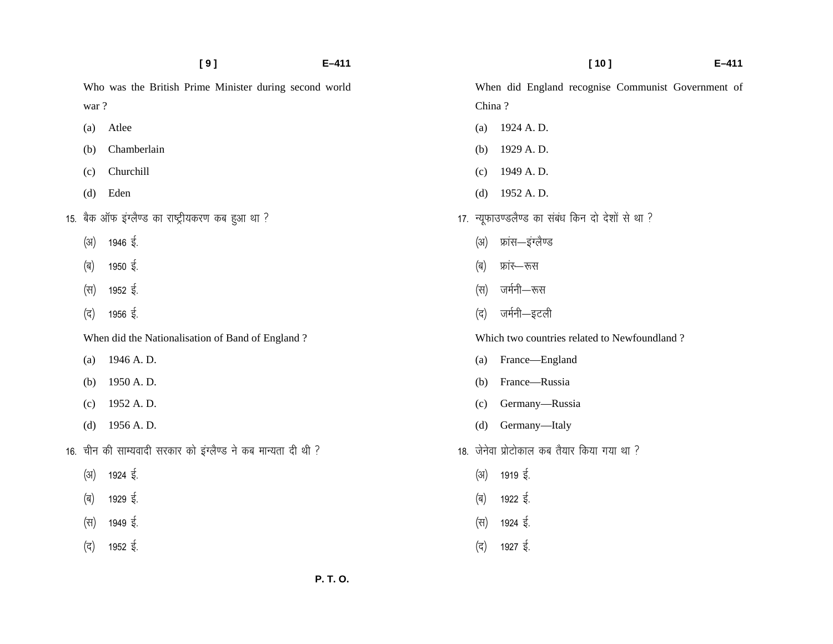|  |      | [9]                                                            | $E - 411$ |        | $E - 411$<br>[10]                                  |  |
|--|------|----------------------------------------------------------------|-----------|--------|----------------------------------------------------|--|
|  |      | Who was the British Prime Minister during second world         |           |        | When did England recognise Communist Government of |  |
|  | war? |                                                                |           | China? |                                                    |  |
|  | (a)  | Atlee                                                          |           | (a)    | 1924 A.D.                                          |  |
|  | (b)  | Chamberlain                                                    |           | (b)    | 1929 A.D.                                          |  |
|  | (c)  | Churchill                                                      |           | (c)    | 1949 A.D.                                          |  |
|  | (d)  | Eden                                                           |           | (d)    | 1952 A.D.                                          |  |
|  |      | 15.  बैक ऑफ इंग्लैण्ड का राष्ट्रीयकरण कब हुआ था ?              |           |        | 17. न्यूफाउण्डलैण्ड का संबंध किन दो देशों से था ?  |  |
|  | (3)  | 1946 $\frac{1}{5}$ .                                           |           | (3I)   | फ्रांस—इंग्लैण्ड                                   |  |
|  | (ब)  | 1950 $\frac{1}{5}$ .                                           |           | (ब)    | फ्रांर—रूस                                         |  |
|  | (स)  | 1952 ई.                                                        |           | (स)    | जर्मनी—रूस                                         |  |
|  | (द)  | 1956 ई.                                                        |           | (द)    | जर्मनी—इटली                                        |  |
|  |      | When did the Nationalisation of Band of England?               |           |        | Which two countries related to Newfoundland?       |  |
|  | (a)  | 1946 A.D.                                                      |           | (a)    | France-England                                     |  |
|  | (b)  | 1950 A.D.                                                      |           | (b)    | France-Russia                                      |  |
|  | (c)  | 1952 A.D.                                                      |           | (c)    | Germany-Russia                                     |  |
|  | (d)  | 1956 A.D.                                                      |           | (d)    | Germany-Italy                                      |  |
|  |      | 16.  चीन की साम्यवादी सरकार को इंग्लैण्ड ने कब मान्यता दी थी ? |           |        | 18. जेनेवा प्रोटोकाल कब तैयार किया गया था ?        |  |
|  | (31) | 1924 $\frac{2}{3}$ .                                           |           | (अ)    | 1919 ई.                                            |  |
|  | (ब)  | 1929 $\frac{1}{5}$ .                                           |           | (ब)    | 1922 ई.                                            |  |
|  | (स)  | 1949 $\frac{1}{5}$ .                                           |           | (स)    | 1924 $\frac{1}{5}$ .                               |  |
|  | (द)  | 1952 $\frac{1}{5}$ .                                           |           | (द)    | 1927 ई.                                            |  |
|  |      |                                                                |           |        |                                                    |  |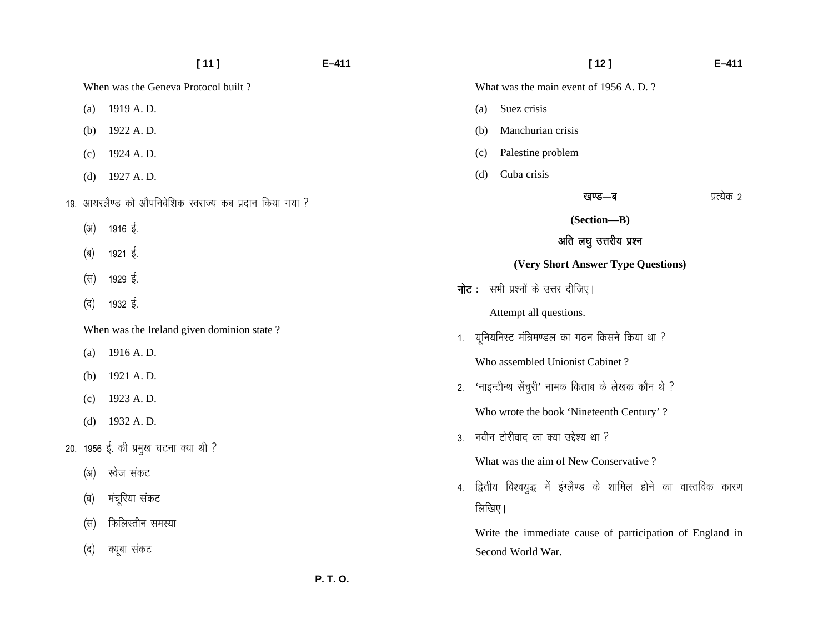|      | $[11]$                                                  | $E - 411$ |                                           | $[12]$                                                          | $E - 411$  |  |  |
|------|---------------------------------------------------------|-----------|-------------------------------------------|-----------------------------------------------------------------|------------|--|--|
|      | When was the Geneva Protocol built?                     |           |                                           | What was the main event of 1956 A.D.?                           |            |  |  |
| (a)  | 1919 A.D.                                               |           | (a)                                       | Suez crisis                                                     |            |  |  |
| (b)  | 1922 A.D.                                               |           | (b)                                       | Manchurian crisis                                               |            |  |  |
| (c)  | 1924 A.D.                                               |           | (c)                                       | Palestine problem                                               |            |  |  |
| (d)  | 1927 A.D.                                               |           | (d)                                       | Cuba crisis                                                     |            |  |  |
|      | 19. आयरलैण्ड को औपनिवेशिक स्वराज्य कब प्रदान किया गया ? |           |                                           | खण्ड—ब                                                          | प्रत्येक 2 |  |  |
| (3I) | 1916 ई.                                                 |           |                                           | (Section-B)                                                     |            |  |  |
|      | 1921 $\frac{1}{5}$ .                                    |           |                                           | अति लघु उत्तरीय प्रश्न                                          |            |  |  |
| (ब)  |                                                         |           |                                           | (Very Short Answer Type Questions)                              |            |  |  |
| (स)  | 1929 ई.                                                 |           | <b>नोट</b> : सभी प्रश्नों के उत्तर दीजिए। |                                                                 |            |  |  |
| (द)  | 1932 $\frac{1}{5}$ .                                    |           |                                           | Attempt all questions.                                          |            |  |  |
|      | When was the Ireland given dominion state?              |           | 1.                                        | यूनियनिस्ट मंत्रिमण्डल का गठन किसने किया था ?                   |            |  |  |
| (a)  | 1916 A.D.                                               |           |                                           | Who assembled Unionist Cabinet?                                 |            |  |  |
| (b)  | 1921 A.D.                                               | 2.        |                                           | 'नाइन्टीन्थ सेंचुरी' नामक किताब के लेखक कौन थे ?                |            |  |  |
| (c)  | 1923 A.D.                                               |           |                                           |                                                                 |            |  |  |
| (d)  | 1932 A.D.                                               |           |                                           | Who wrote the book 'Nineteenth Century'?                        |            |  |  |
|      | 20.  1956 ई. की प्रमुख घटना क्या थी ?                   | 3.        |                                           | नवीन टोरीवाद का क्या उद्देश्य था ?                              |            |  |  |
| (3I) | स्वेज संकट                                              |           |                                           | What was the aim of New Conservative?                           |            |  |  |
| (ब)  | मंचूरिया संकट                                           | 4.        |                                           | द्वितीय विश्वयुद्ध में इंग्लैण्ड के शामिल होने का वास्तविक कारण |            |  |  |
|      | फिलिस्तीन समस्या                                        |           | लिखिए।                                    |                                                                 |            |  |  |
| (स)  |                                                         |           |                                           | Write the immediate cause of participation of England in        |            |  |  |
| (द)  | क्यूबा संकट                                             |           |                                           | Second World War.                                               |            |  |  |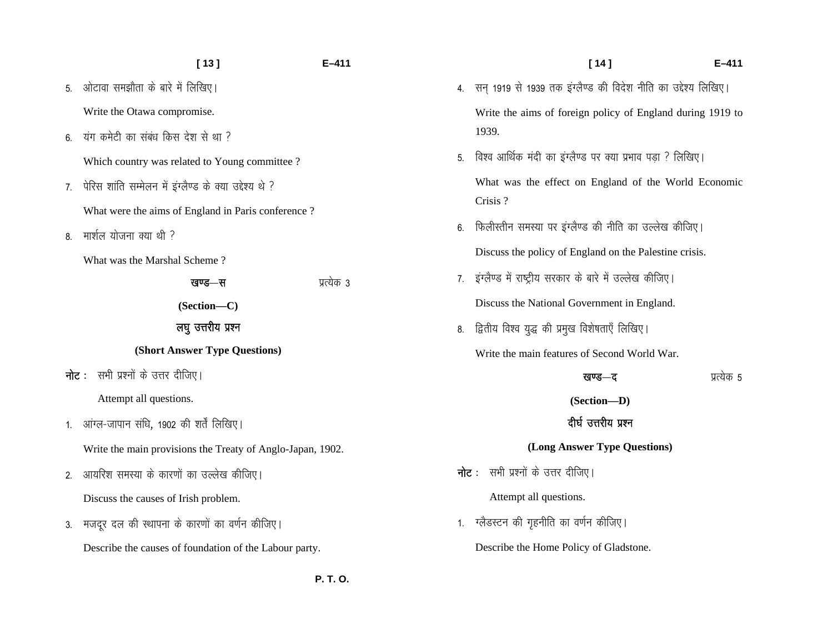|    | $[13]$                                                     | E-411      |  |  |  |  |  |
|----|------------------------------------------------------------|------------|--|--|--|--|--|
| 5. | ओटावा समझौता के बारे में लिखिए।                            |            |  |  |  |  |  |
|    | Write the Otawa compromise.                                |            |  |  |  |  |  |
| 6. | यंग कमेटी का संबंध किस देश से था ?                         |            |  |  |  |  |  |
|    | Which country was related to Young committee?              |            |  |  |  |  |  |
| 7. | पेरिस शांति सम्मेलन में इंग्लैण्ड के क्या उद्देश्य थे ?    |            |  |  |  |  |  |
|    | What were the aims of England in Paris conference?         |            |  |  |  |  |  |
| 8. | मार्शल योजना क्या थी ?                                     |            |  |  |  |  |  |
|    | What was the Marshal Scheme?                               |            |  |  |  |  |  |
|    | खण्ड—स                                                     | प्रत्येक 3 |  |  |  |  |  |
|    | (Section-C)                                                |            |  |  |  |  |  |
|    | लघु उत्तरीय प्रश्न                                         |            |  |  |  |  |  |
|    | (Short Answer Type Questions)                              |            |  |  |  |  |  |
|    | <b>नोट</b> : सभी प्रश्नों के उत्तर दीजिए।                  |            |  |  |  |  |  |
|    | Attempt all questions.                                     |            |  |  |  |  |  |
| 1. | आंग्ल-जापान संधि, 1902 की शर्तें लिखिए।                    |            |  |  |  |  |  |
|    | Write the main provisions the Treaty of Anglo-Japan, 1902. |            |  |  |  |  |  |
| 2. | आयरिश समस्या के कारणों का उल्लेख कीजिए।                    |            |  |  |  |  |  |
|    | Discuss the causes of Irish problem.                       |            |  |  |  |  |  |
| 3. | मजदूर दल की स्थापना के कारणों का वर्णन कीजिए।              |            |  |  |  |  |  |
|    | Describe the causes of foundation of the Labour party.     |            |  |  |  |  |  |

 **[ 14 ] E–411**  4. सन् 1919 से 1939 तक इंग्लैण्ड की विदेश नीति का उद्देश्य लिखिए।

Write the aims of foreign policy of England during 1919 to 1939.

- 5. विश्व आर्थिक मंदी का इंग्लैण्ड पर क्या प्रभाव पड़ा ? लिखिए। What was the effect on England of the World Economic Crisis ?
- 6. फिलीस्तीन समस्या पर इंग्लैण्ड की नीति का उल्लेख कीजिए। Discuss the policy of England on the Palestine crisis.
- 7. इंग्लैण्ड में राष्ट्रीय सरकार के बारे में उल्लेख कीजिए। Discuss the National Government in England.
- 8. द्वितीय विश्व युद्ध की प्रमुख विशेषताएँ लिखिए।

Write the main features of Second World War.

### **खण्ड-द** अत्येक 5

**(Section—D)** 

### दीर्घ उत्तरीय प्रश्न

### **(Long Answer Type Questions)**

 $\overline{\eta}$ ट : सभी प्रश्नों के उत्तर दीजिए।

Attempt all questions.

1. ग्लैडस्टन की गृहनीति का वर्णन कीजिए। Describe the Home Policy of Gladstone.